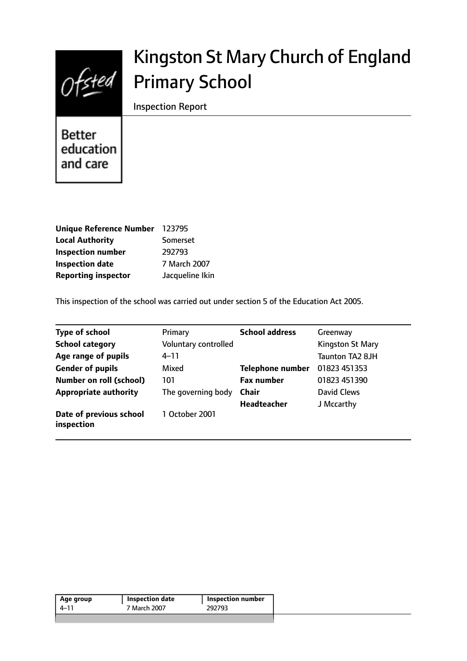

# Kingston St Mary Church of England Primary School

Inspection Report

**Better** education and care

| <b>Unique Reference Number</b> | 123795          |
|--------------------------------|-----------------|
| <b>Local Authority</b>         | Somerset        |
| <b>Inspection number</b>       | 292793          |
| <b>Inspection date</b>         | 7 March 2007    |
| <b>Reporting inspector</b>     | Jacqueline Ikin |

This inspection of the school was carried out under section 5 of the Education Act 2005.

| <b>Type of school</b>                 | Primary              | <b>School address</b>   | Greenway                |
|---------------------------------------|----------------------|-------------------------|-------------------------|
| <b>School category</b>                | Voluntary controlled |                         | <b>Kingston St Mary</b> |
| Age range of pupils                   | $4 - 11$             |                         | Taunton TA2 8JH         |
| <b>Gender of pupils</b>               | Mixed                | <b>Telephone number</b> | 01823 451353            |
| <b>Number on roll (school)</b>        | 101                  | <b>Fax number</b>       | 01823 451390            |
| <b>Appropriate authority</b>          | The governing body   | <b>Chair</b>            | David Clews             |
|                                       |                      | <b>Headteacher</b>      | J Mccarthy              |
| Date of previous school<br>inspection | 1 October 2001       |                         |                         |

| Age group | <b>Inspection date</b> | ' Inspection number |
|-----------|------------------------|---------------------|
| 4–11      | 7 March 2007           | 292793              |
|           |                        |                     |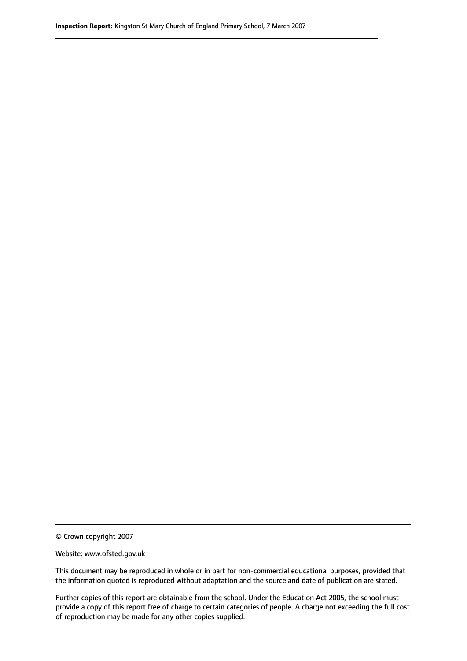© Crown copyright 2007

Website: www.ofsted.gov.uk

This document may be reproduced in whole or in part for non-commercial educational purposes, provided that the information quoted is reproduced without adaptation and the source and date of publication are stated.

Further copies of this report are obtainable from the school. Under the Education Act 2005, the school must provide a copy of this report free of charge to certain categories of people. A charge not exceeding the full cost of reproduction may be made for any other copies supplied.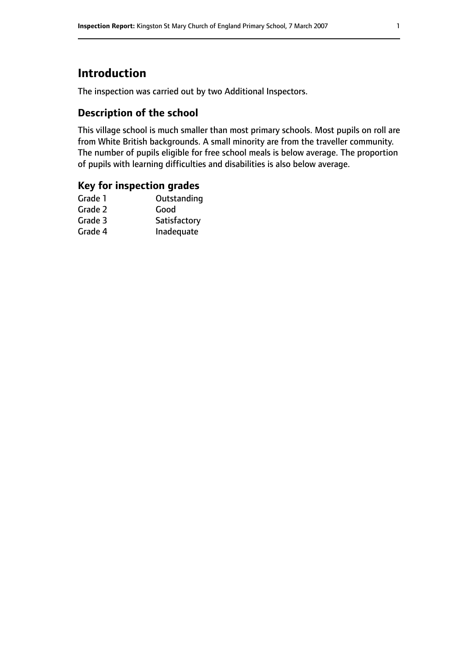## **Introduction**

The inspection was carried out by two Additional Inspectors.

## **Description of the school**

This village school is much smaller than most primary schools. Most pupils on roll are from White British backgrounds. A small minority are from the traveller community. The number of pupils eligible for free school meals is below average. The proportion of pupils with learning difficulties and disabilities is also below average.

### **Key for inspection grades**

| Outstanding  |
|--------------|
| Good         |
| Satisfactory |
| Inadequate   |
|              |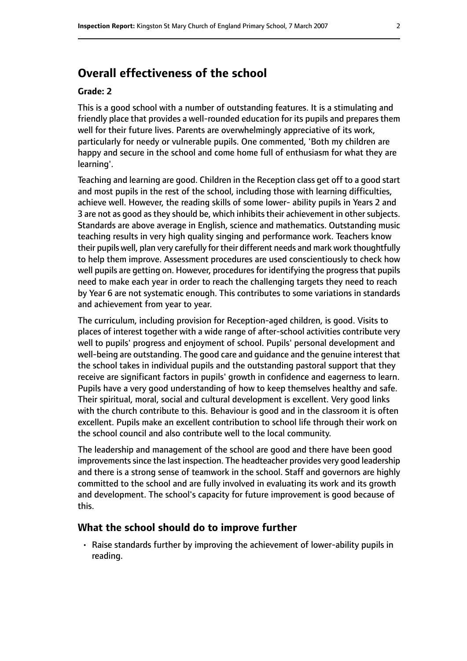## **Overall effectiveness of the school**

#### **Grade: 2**

This is a good school with a number of outstanding features. It is a stimulating and friendly place that provides a well-rounded education for its pupils and prepares them well for their future lives. Parents are overwhelmingly appreciative of its work, particularly for needy or vulnerable pupils. One commented, 'Both my children are happy and secure in the school and come home full of enthusiasm for what they are learning'.

Teaching and learning are good. Children in the Reception class get off to a good start and most pupils in the rest of the school, including those with learning difficulties, achieve well. However, the reading skills of some lower- ability pupils in Years 2 and 3 are not as good as they should be, which inhibits their achievement in other subjects. Standards are above average in English, science and mathematics. Outstanding music teaching results in very high quality singing and performance work. Teachers know their pupils well, plan very carefully for their different needs and mark work thoughtfully to help them improve. Assessment procedures are used conscientiously to check how well pupils are getting on. However, procedures for identifying the progress that pupils need to make each year in order to reach the challenging targets they need to reach by Year 6 are not systematic enough. This contributes to some variations in standards and achievement from year to year.

The curriculum, including provision for Reception-aged children, is good. Visits to places of interest together with a wide range of after-school activities contribute very well to pupils' progress and enjoyment of school. Pupils' personal development and well-being are outstanding. The good care and guidance and the genuine interest that the school takes in individual pupils and the outstanding pastoral support that they receive are significant factors in pupils' growth in confidence and eagerness to learn. Pupils have a very good understanding of how to keep themselves healthy and safe. Their spiritual, moral, social and cultural development is excellent. Very good links with the church contribute to this. Behaviour is good and in the classroom it is often excellent. Pupils make an excellent contribution to school life through their work on the school council and also contribute well to the local community.

The leadership and management of the school are good and there have been good improvements since the last inspection. The headteacher provides very good leadership and there is a strong sense of teamwork in the school. Staff and governors are highly committed to the school and are fully involved in evaluating its work and its growth and development. The school's capacity for future improvement is good because of this.

#### **What the school should do to improve further**

• Raise standards further by improving the achievement of lower-ability pupils in reading.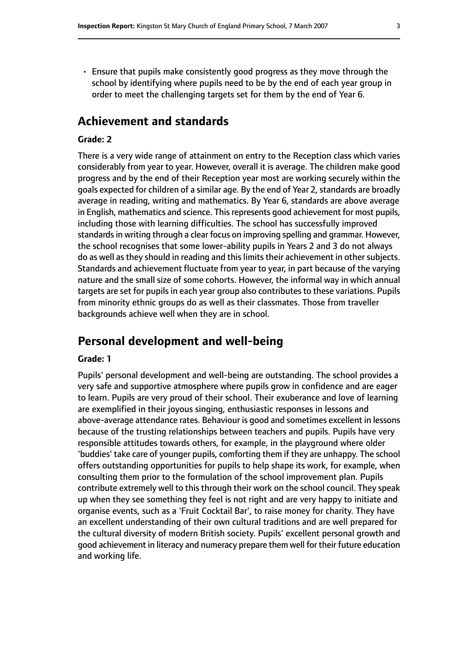• Ensure that pupils make consistently good progress as they move through the school by identifying where pupils need to be by the end of each year group in order to meet the challenging targets set for them by the end of Year 6.

## **Achievement and standards**

#### **Grade: 2**

There is a very wide range of attainment on entry to the Reception class which varies considerably from year to year. However, overall it is average. The children make good progress and by the end of their Reception year most are working securely within the goals expected for children of a similar age. By the end of Year 2, standards are broadly average in reading, writing and mathematics. By Year 6, standards are above average in English, mathematics and science. This represents good achievement for most pupils, including those with learning difficulties. The school has successfully improved standards in writing through a clear focus on improving spelling and grammar. However, the school recognises that some lower-ability pupils in Years 2 and 3 do not always do as well as they should in reading and this limits their achievement in other subjects. Standards and achievement fluctuate from year to year, in part because of the varying nature and the small size of some cohorts. However, the informal way in which annual targets are set for pupils in each year group also contributes to these variations. Pupils from minority ethnic groups do as well as their classmates. Those from traveller backgrounds achieve well when they are in school.

## **Personal development and well-being**

#### **Grade: 1**

Pupils' personal development and well-being are outstanding. The school provides a very safe and supportive atmosphere where pupils grow in confidence and are eager to learn. Pupils are very proud of their school. Their exuberance and love of learning are exemplified in their joyous singing, enthusiastic responses in lessons and above-average attendance rates. Behaviour is good and sometimes excellent in lessons because of the trusting relationships between teachers and pupils. Pupils have very responsible attitudes towards others, for example, in the playground where older 'buddies' take care of younger pupils, comforting them if they are unhappy. The school offers outstanding opportunities for pupils to help shape its work, for example, when consulting them prior to the formulation of the school improvement plan. Pupils contribute extremely well to this through their work on the school council. They speak up when they see something they feel is not right and are very happy to initiate and organise events, such as a 'Fruit Cocktail Bar', to raise money for charity. They have an excellent understanding of their own cultural traditions and are well prepared for the cultural diversity of modern British society. Pupils' excellent personal growth and good achievement in literacy and numeracy prepare them well for their future education and working life.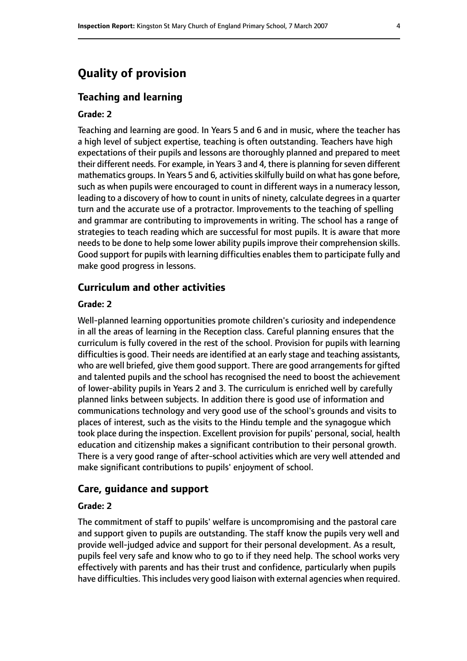## **Quality of provision**

#### **Teaching and learning**

#### **Grade: 2**

Teaching and learning are good. In Years 5 and 6 and in music, where the teacher has a high level of subject expertise, teaching is often outstanding. Teachers have high expectations of their pupils and lessons are thoroughly planned and prepared to meet their different needs. For example, in Years 3 and 4, there is planning for seven different mathematics groups. In Years 5 and 6, activities skilfully build on what has gone before, such as when pupils were encouraged to count in different ways in a numeracy lesson, leading to a discovery of how to count in units of ninety, calculate degrees in a quarter turn and the accurate use of a protractor. Improvements to the teaching of spelling and grammar are contributing to improvements in writing. The school has a range of strategies to teach reading which are successful for most pupils. It is aware that more needs to be done to help some lower ability pupils improve their comprehension skills. Good support for pupils with learning difficulties enables them to participate fully and make good progress in lessons.

#### **Curriculum and other activities**

#### **Grade: 2**

Well-planned learning opportunities promote children's curiosity and independence in all the areas of learning in the Reception class. Careful planning ensures that the curriculum is fully covered in the rest of the school. Provision for pupils with learning difficulties is good. Their needs are identified at an early stage and teaching assistants, who are well briefed, give them good support. There are good arrangements for gifted and talented pupils and the school has recognised the need to boost the achievement of lower-ability pupils in Years 2 and 3. The curriculum is enriched well by carefully planned links between subjects. In addition there is good use of information and communications technology and very good use of the school's grounds and visits to places of interest, such as the visits to the Hindu temple and the synagogue which took place during the inspection. Excellent provision for pupils' personal, social, health education and citizenship makes a significant contribution to their personal growth. There is a very good range of after-school activities which are very well attended and make significant contributions to pupils' enjoyment of school.

#### **Care, guidance and support**

#### **Grade: 2**

The commitment of staff to pupils' welfare is uncompromising and the pastoral care and support given to pupils are outstanding. The staff know the pupils very well and provide well-judged advice and support for their personal development. As a result, pupils feel very safe and know who to go to if they need help. The school works very effectively with parents and has their trust and confidence, particularly when pupils have difficulties. This includes very good liaison with external agencies when required.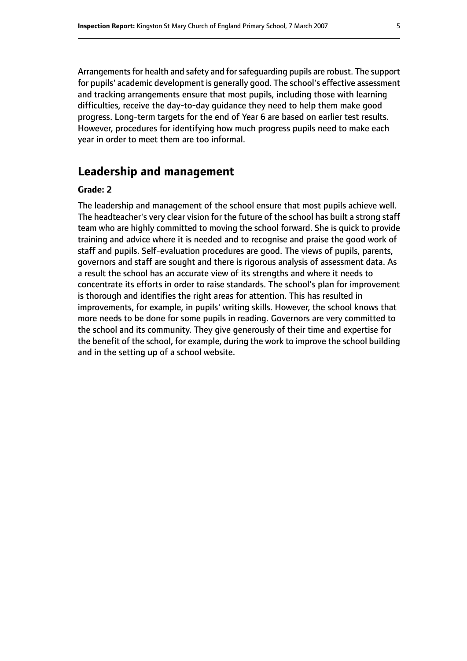Arrangements for health and safety and for safeguarding pupils are robust. The support for pupils' academic development is generally good. The school's effective assessment and tracking arrangements ensure that most pupils, including those with learning difficulties, receive the day-to-day guidance they need to help them make good progress. Long-term targets for the end of Year 6 are based on earlier test results. However, procedures for identifying how much progress pupils need to make each year in order to meet them are too informal.

## **Leadership and management**

#### **Grade: 2**

The leadership and management of the school ensure that most pupils achieve well. The headteacher's very clear vision for the future of the school has built a strong staff team who are highly committed to moving the school forward. She is quick to provide training and advice where it is needed and to recognise and praise the good work of staff and pupils. Self-evaluation procedures are good. The views of pupils, parents, governors and staff are sought and there is rigorous analysis of assessment data. As a result the school has an accurate view of its strengths and where it needs to concentrate its efforts in order to raise standards. The school's plan for improvement is thorough and identifies the right areas for attention. This has resulted in improvements, for example, in pupils' writing skills. However, the school knows that more needs to be done for some pupils in reading. Governors are very committed to the school and its community. They give generously of their time and expertise for the benefit of the school, for example, during the work to improve the school building and in the setting up of a school website.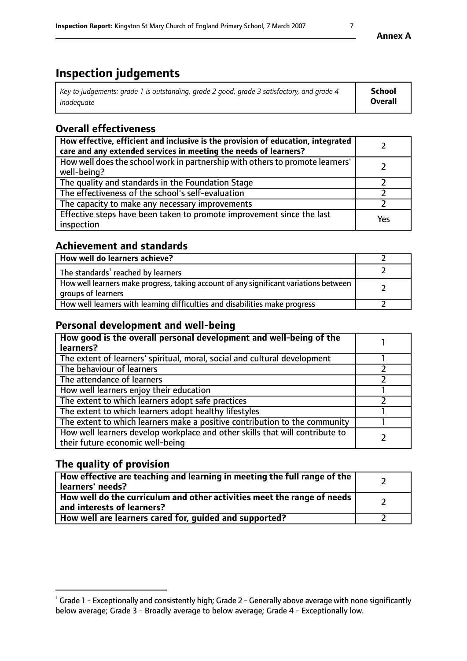## **Inspection judgements**

| Key to judgements: grade 1 is outstanding, grade 2 good, grade 3 satisfactory, and grade 4 | School         |
|--------------------------------------------------------------------------------------------|----------------|
| inadeauate                                                                                 | <b>Overall</b> |

## **Overall effectiveness**

| How effective, efficient and inclusive is the provision of education, integrated<br>care and any extended services in meeting the needs of learners? |     |
|------------------------------------------------------------------------------------------------------------------------------------------------------|-----|
| How well does the school work in partnership with others to promote learners'<br>well-being?                                                         |     |
| The quality and standards in the Foundation Stage                                                                                                    |     |
| The effectiveness of the school's self-evaluation                                                                                                    |     |
| The capacity to make any necessary improvements                                                                                                      |     |
| Effective steps have been taken to promote improvement since the last<br>inspection                                                                  | Yes |

## **Achievement and standards**

| How well do learners achieve?                                                                               |  |
|-------------------------------------------------------------------------------------------------------------|--|
| The standards <sup>1</sup> reached by learners                                                              |  |
| How well learners make progress, taking account of any significant variations between<br>groups of learners |  |
| How well learners with learning difficulties and disabilities make progress                                 |  |

## **Personal development and well-being**

| How good is the overall personal development and well-being of the<br>learners?                                  |  |
|------------------------------------------------------------------------------------------------------------------|--|
| The extent of learners' spiritual, moral, social and cultural development                                        |  |
| The behaviour of learners                                                                                        |  |
| The attendance of learners                                                                                       |  |
| How well learners enjoy their education                                                                          |  |
| The extent to which learners adopt safe practices                                                                |  |
| The extent to which learners adopt healthy lifestyles                                                            |  |
| The extent to which learners make a positive contribution to the community                                       |  |
| How well learners develop workplace and other skills that will contribute to<br>their future economic well-being |  |

## **The quality of provision**

| How effective are teaching and learning in meeting the full range of the<br>learners' needs?          |  |
|-------------------------------------------------------------------------------------------------------|--|
| How well do the curriculum and other activities meet the range of needs<br>and interests of learners? |  |
| How well are learners cared for, guided and supported?                                                |  |

 $^1$  Grade 1 - Exceptionally and consistently high; Grade 2 - Generally above average with none significantly below average; Grade 3 - Broadly average to below average; Grade 4 - Exceptionally low.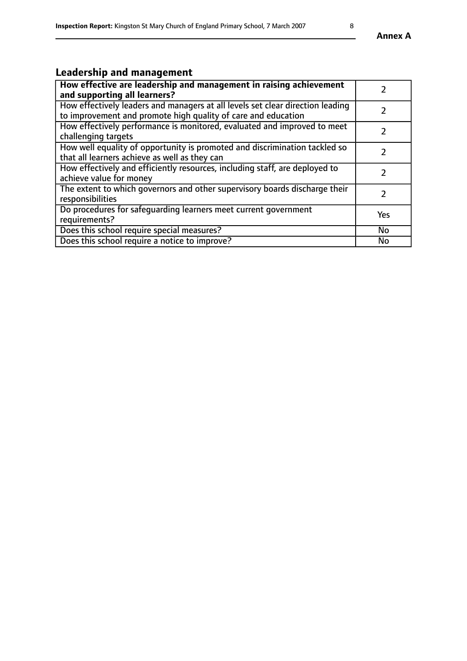## **Leadership and management**

| How effective are leadership and management in raising achievement<br>and supporting all learners?                                              |               |
|-------------------------------------------------------------------------------------------------------------------------------------------------|---------------|
| How effectively leaders and managers at all levels set clear direction leading<br>to improvement and promote high quality of care and education |               |
| How effectively performance is monitored, evaluated and improved to meet<br>challenging targets                                                 |               |
| How well equality of opportunity is promoted and discrimination tackled so<br>that all learners achieve as well as they can                     |               |
| How effectively and efficiently resources, including staff, are deployed to<br>achieve value for money                                          | $\mathcal{P}$ |
| The extent to which governors and other supervisory boards discharge their<br>responsibilities                                                  |               |
| Do procedures for safequarding learners meet current government<br>requirements?                                                                | Yes           |
| Does this school require special measures?                                                                                                      | No            |
| Does this school require a notice to improve?                                                                                                   | <b>No</b>     |